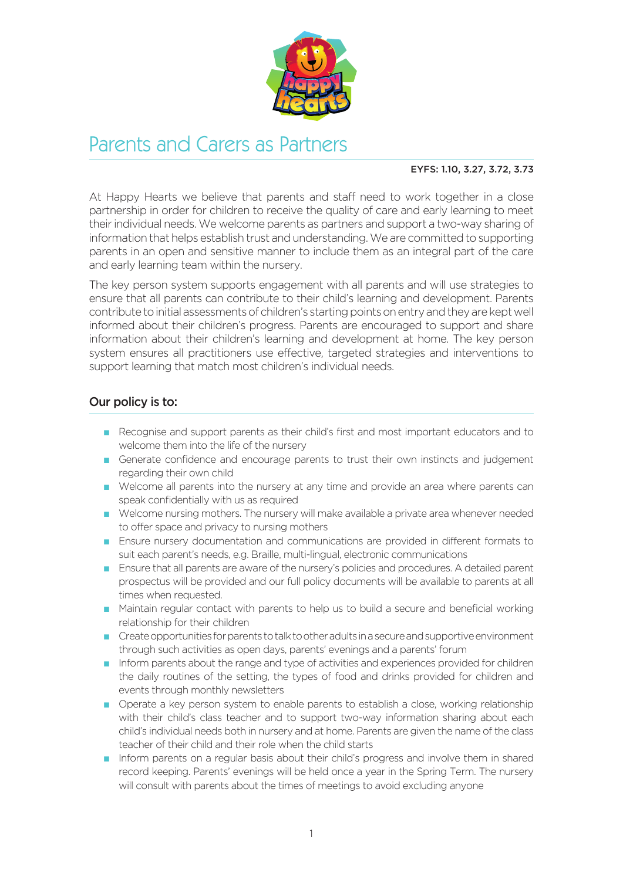

## Parents and Carers as Partners

## EYFS: 1.10, 3.27, 3.72, 3.73

At Happy Hearts we believe that parents and staff need to work together in a close partnership in order for children to receive the quality of care and early learning to meet their individual needs. We welcome parents as partners and support a two-way sharing of information that helps establish trust and understanding. We are committed to supporting parents in an open and sensitive manner to include them as an integral part of the care and early learning team within the nursery.

The key person system supports engagement with all parents and will use strategies to ensure that all parents can contribute to their child's learning and development. Parents contribute to initial assessments of children's starting points on entry and they are kept well informed about their children's progress. Parents are encouraged to support and share information about their children's learning and development at home. The key person system ensures all practitioners use effective, targeted strategies and interventions to support learning that match most children's individual needs.

## Our policy is to:

- n Recognise and support parents as their child's first and most important educators and to welcome them into the life of the nursery
- **n** Generate confidence and encourage parents to trust their own instincts and judgement regarding their own child
- n Welcome all parents into the nursery at any time and provide an area where parents can speak confidentially with us as required
- n Welcome nursing mothers. The nursery will make available a private area whenever needed to offer space and privacy to nursing mothers
- **n** Ensure nursery documentation and communications are provided in different formats to suit each parent's needs, e.g. Braille, multi-lingual, electronic communications
- **n** Ensure that all parents are aware of the nursery's policies and procedures. A detailed parent prospectus will be provided and our full policy documents will be available to parents at all times when requested.
- **n** Maintain regular contact with parents to help us to build a secure and beneficial working relationship for their children
- n Create opportunities for parents to talk to other adults in a secure and supportive environment through such activities as open days, parents' evenings and a parents' forum
- n Inform parents about the range and type of activities and experiences provided for children the daily routines of the setting, the types of food and drinks provided for children and events through monthly newsletters
- n Operate a key person system to enable parents to establish a close, working relationship with their child's class teacher and to support two-way information sharing about each child's individual needs both in nursery and at home. Parents are given the name of the class teacher of their child and their role when the child starts
- n Inform parents on a regular basis about their child's progress and involve them in shared record keeping. Parents' evenings will be held once a year in the Spring Term. The nursery will consult with parents about the times of meetings to avoid excluding anyone